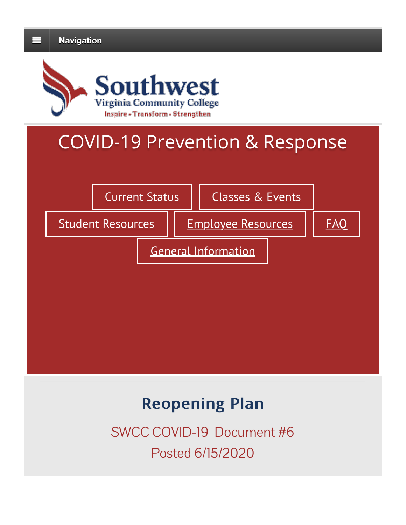

# COVID-19 Prevention & Response



## **Reopening Plan**

SWCC COVID-19 Document #6 Posted 6/15/2020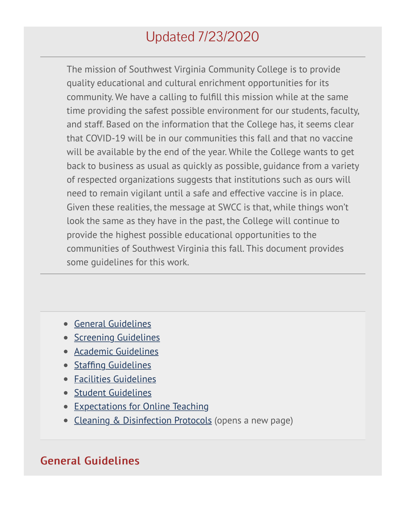## Updated 7/23/2020

The mission of Southwest Virginia Community College is to provide quality educational and cultural enrichment opportunities for its community. We have a calling to fulfill this mission while at the same time providing the safest possible environment for our students, faculty, and staff. Based on the information that the College has, it seems clear that COVID-19 will be in our communities this fall and that no vaccine will be available by the end of the year. While the College wants to get back to business as usual as quickly as possible, guidance from a variety of respected organizations suggests that institutions such as ours will need to remain vigilant until a safe and effective vaccine is in place. Given these realities, the message at SWCC is that, while things won't look the same as they have in the past, the College will continue to provide the highest possible educational opportunities to the communities of Southwest Virginia this fall. This document provides some guidelines for this work.

- General Guidelines
- Screening Guidelines
- Academic Guidelines
- Staffing Guidelines
- Facilities Guidelines
- Student Guidelines
- Expectations for Online Teaching
- Cleaning & Disinfection Protocols (opens a new page)

#### General Guidelines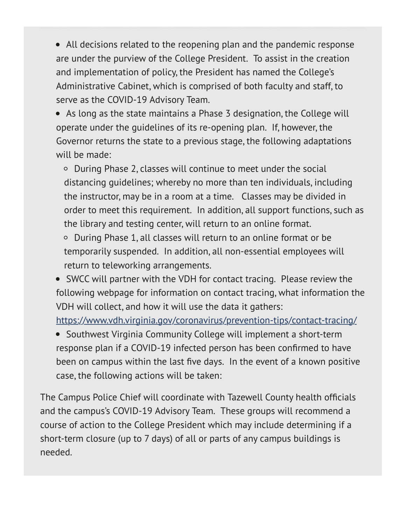All decisions related to the reopening plan and the pandemic response are under the purview of the College President. To assist in the creation and implementation of policy, the President has named the College's Administrative Cabinet, which is comprised of both faculty and staff, to serve as the COVID-19 Advisory Team.

As long as the state maintains a Phase 3 designation, the College will operate under the guidelines of its re-opening plan. If, however, the Governor returns the state to a previous stage, the following adaptations will be made:

During Phase 2, classes will continue to meet under the social distancing guidelines; whereby no more than ten individuals, including the instructor, may be in a room at a time. Classes may be divided in order to meet this requirement. In addition, all support functions, such as the library and testing center, will return to an online format.

During Phase 1, all classes will return to an online format or be temporarily suspended. In addition, all non-essential employees will return to teleworking arrangements.

SWCC will partner with the VDH for contact tracing. Please review the following webpage for information on contact tracing, what information the VDH will collect, and how it will use the data it gathers:

https://www.vdh.virginia.gov/coronavirus/prevention-tips/contact-tracing/

• Southwest Virginia Community College will implement a short-term response plan if a COVID-19 infected person has been confirmed to have been on campus within the last five days. In the event of a known positive case, the following actions will be taken:

The Campus Police Chief will coordinate with Tazewell County health officials and the campus's COVID-19 Advisory Team. These groups will recommend a course of action to the College President which may include determining if a short-term closure (up to 7 days) of all or parts of any campus buildings is needed.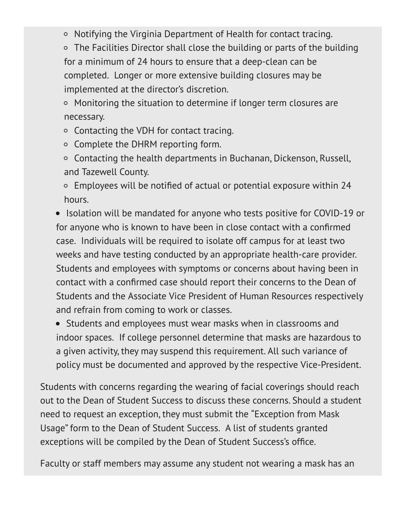Notifying the Virginia Department of Health for contact tracing.

○ The Facilities Director shall close the building or parts of the building for a minimum of 24 hours to ensure that a deep-clean can be completed. Longer or more extensive building closures may be implemented at the director's discretion.

○ Monitoring the situation to determine if longer term closures are necessary.

Contacting the VDH for contact tracing.

- Complete the DHRM reporting form.
- $\circ$  Contacting the health departments in Buchanan, Dickenson, Russell, and Tazewell County.
- Employees will be notified of actual or potential exposure within 24 hours.

• Isolation will be mandated for anyone who tests positive for COVID-19 or for anyone who is known to have been in close contact with a confirmed case. Individuals will be required to isolate off campus for at least two weeks and have testing conducted by an appropriate health-care provider. Students and employees with symptoms or concerns about having been in contact with a confirmed case should report their concerns to the Dean of Students and the Associate Vice President of Human Resources respectively and refrain from coming to work or classes.

• Students and employees must wear masks when in classrooms and indoor spaces. If college personnel determine that masks are hazardous to a given activity, they may suspend this requirement. All such variance of policy must be documented and approved by the respective Vice-President.

Students with concerns regarding the wearing of facial coverings should reach out to the Dean of Student Success to discuss these concerns. Should a student need to request an exception, they must submit the "Exception from Mask Usage" form to the Dean of Student Success. A list of students granted exceptions will be compiled by the Dean of Student Success's office.

Faculty or staff members may assume any student not wearing a mask has an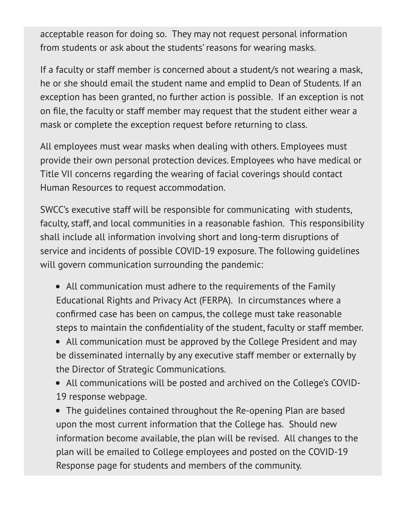acceptable reason for doing so. They may not request personal information from students or ask about the students' reasons for wearing masks.

If a faculty or staff member is concerned about a student/s not wearing a mask, he or she should email the student name and emplid to Dean of Students. If an exception has been granted, no further action is possible. If an exception is not on file, the faculty or staff member may request that the student either wear a mask or complete the exception request before returning to class.

All employees must wear masks when dealing with others. Employees must provide their own personal protection devices. Employees who have medical or Title VII concerns regarding the wearing of facial coverings should contact Human Resources to request accommodation.

SWCC's executive staff will be responsible for communicating with students, faculty, staff, and local communities in a reasonable fashion. This responsibility shall include all information involving short and long-term disruptions of service and incidents of possible COVID-19 exposure. The following guidelines will govern communication surrounding the pandemic:

- All communication must adhere to the requirements of the Family Educational Rights and Privacy Act (FERPA). In circumstances where a confirmed case has been on campus, the college must take reasonable steps to maintain the confidentiality of the student, faculty or staff member.
- All communication must be approved by the College President and may be disseminated internally by any executive staff member or externally by the Director of Strategic Communications.
- All communications will be posted and archived on the College's COVID-19 response webpage.

The guidelines contained throughout the Re-opening Plan are based upon the most current information that the College has. Should new information become available, the plan will be revised. All changes to the plan will be emailed to College employees and posted on the COVID-19 Response page for students and members of the community.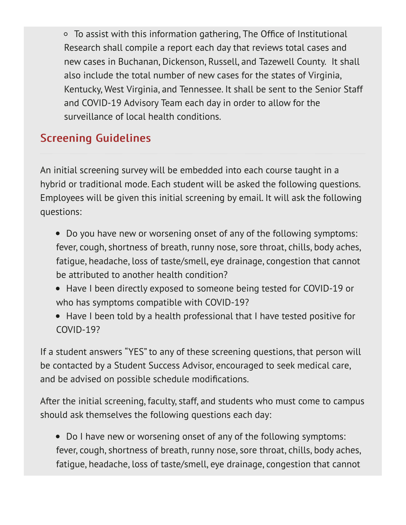To assist with this information gathering, The Office of Institutional Research shall compile a report each day that reviews total cases and new cases in Buchanan, Dickenson, Russell, and Tazewell County. It shall also include the total number of new cases for the states of Virginia, Kentucky, West Virginia, and Tennessee. It shall be sent to the Senior Staff and COVID-19 Advisory Team each day in order to allow for the surveillance of local health conditions.

### **Screening Guidelines**

An initial screening survey will be embedded into each course taught in a hybrid or traditional mode. Each student will be asked the following questions. Employees will be given this initial screening by email. It will ask the following questions:

- Do you have new or worsening onset of any of the following symptoms: fever, cough, shortness of breath, runny nose, sore throat, chills, body aches, fatigue, headache, loss of taste/smell, eye drainage, congestion that cannot be attributed to another health condition?
- Have I been directly exposed to someone being tested for COVID-19 or who has symptoms compatible with COVID-19?
- Have I been told by a health professional that I have tested positive for COVID-19?

If a student answers "YES" to any of these screening questions, that person will be contacted by a Student Success Advisor, encouraged to seek medical care, and be advised on possible schedule modifications.

After the initial screening, faculty, staff, and students who must come to campus should ask themselves the following questions each day:

Do I have new or worsening onset of any of the following symptoms: fever, cough, shortness of breath, runny nose, sore throat, chills, body aches, fatigue, headache, loss of taste/smell, eye drainage, congestion that cannot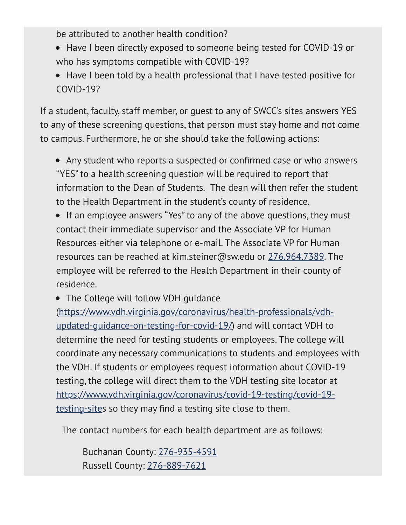be attributed to another health condition?

- Have I been directly exposed to someone being tested for COVID-19 or who has symptoms compatible with COVID-19?
- Have I been told by a health professional that I have tested positive for COVID-19?

If a student, faculty, staff member, or guest to any of SWCC's sites answers YES to any of these screening questions, that person must stay home and not come to campus. Furthermore, he or she should take the following actions:

- Any student who reports a suspected or confirmed case or who answers "YES" to a health screening question will be required to report that information to the Dean of Students. The dean will then refer the student to the Health Department in the student's county of residence.
- If an employee answers "Yes" to any of the above questions, they must contact their immediate supervisor and the Associate VP for Human Resources either via telephone or e-mail. The Associate VP for Human resources can be reached at kim.steiner@sw.edu or 276.964.7389. The employee will be referred to the Health Department in their county of residence.
- The College will follow VDH quidance

(https://www.vdh.virginia.gov/coronavirus/health-professionals/vdhupdated-guidance-on-testing-for-covid-19/) and will contact VDH to determine the need for testing students or employees. The college will coordinate any necessary communications to students and employees with the VDH. If students or employees request information about COVID-19 testing, the college will direct them to the VDH testing site locator at https://www.vdh.virginia.gov/coronavirus/covid-19-testing/covid-19 testing-sites so they may find a testing site close to them.

The contact numbers for each health department are as follows:

Buchanan County: 276-935-4591 Russell County: 276-889-7621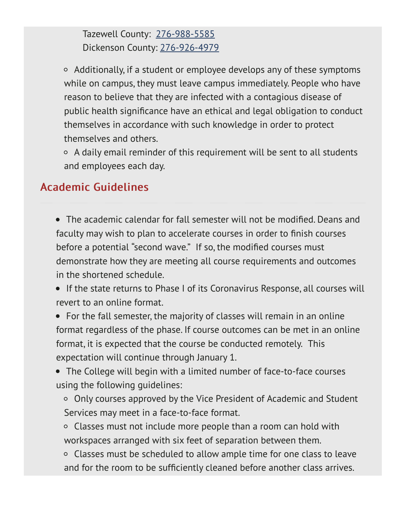Tazewell County: 276-988-5585 Dickenson County: 276-926-4979

 $\circ$  Additionally, if a student or employee develops any of these symptoms while on campus, they must leave campus immediately. People who have reason to believe that they are infected with a contagious disease of public health significance have an ethical and legal obligation to conduct themselves in accordance with such knowledge in order to protect themselves and others.

 $\circ$  A daily email reminder of this requirement will be sent to all students and employees each day.

#### Academic Guidelines

The academic calendar for fall semester will not be modified. Deans and faculty may wish to plan to accelerate courses in order to finish courses before a potential "second wave." If so, the modified courses must demonstrate how they are meeting all course requirements and outcomes in the shortened schedule.

• If the state returns to Phase I of its Coronavirus Response, all courses will revert to an online format.

For the fall semester, the majority of classes will remain in an online format regardless of the phase. If course outcomes can be met in an online format, it is expected that the course be conducted remotely. This expectation will continue through January 1.

The College will begin with a limited number of face-to-face courses using the following guidelines:

○ Only courses approved by the Vice President of Academic and Student Services may meet in a face-to-face format.

Classes must not include more people than a room can hold with workspaces arranged with six feet of separation between them.

Classes must be scheduled to allow ample time for one class to leave and for the room to be sufficiently cleaned before another class arrives.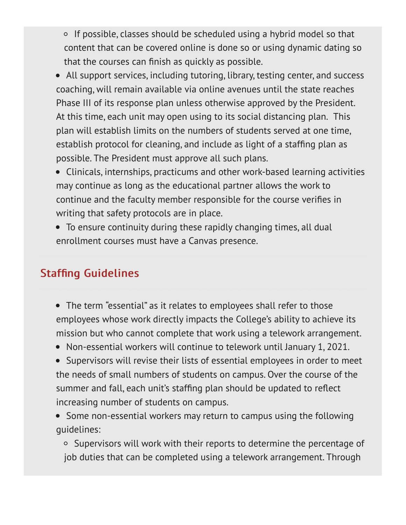- $\circ$  If possible, classes should be scheduled using a hybrid model so that content that can be covered online is done so or using dynamic dating so that the courses can finish as quickly as possible.
- All support services, including tutoring, library, testing center, and success coaching, will remain available via online avenues until the state reaches Phase III of its response plan unless otherwise approved by the President. At this time, each unit may open using to its social distancing plan. This plan will establish limits on the numbers of students served at one time, establish protocol for cleaning, and include as light of a staffing plan as possible. The President must approve all such plans.
- Clinicals, internships, practicums and other work-based learning activities may continue as long as the educational partner allows the work to continue and the faculty member responsible for the course verifies in writing that safety protocols are in place.
- To ensure continuity during these rapidly changing times, all dual enrollment courses must have a Canvas presence.

#### **Staffing Guidelines**

- The term "essential" as it relates to employees shall refer to those employees whose work directly impacts the College's ability to achieve its mission but who cannot complete that work using a telework arrangement.
- Non-essential workers will continue to telework until January 1, 2021.
- Supervisors will revise their lists of essential employees in order to meet the needs of small numbers of students on campus. Over the course of the summer and fall, each unit's staffing plan should be updated to reflect increasing number of students on campus.
- Some non-essential workers may return to campus using the following guidelines:

Supervisors will work with their reports to determine the percentage of job duties that can be completed using a telework arrangement. Through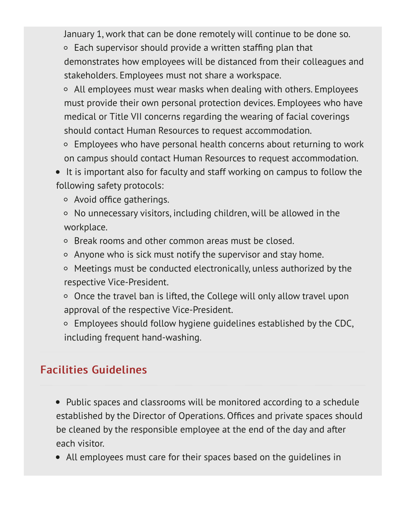January 1, work that can be done remotely will continue to be done so.

 $\circ$  Each supervisor should provide a written staffing plan that demonstrates how employees will be distanced from their colleagues and stakeholders. Employees must not share a workspace.

- All employees must wear masks when dealing with others. Employees must provide their own personal protection devices. Employees who have medical or Title VII concerns regarding the wearing of facial coverings should contact Human Resources to request accommodation.
- Employees who have personal health concerns about returning to work on campus should contact Human Resources to request accommodation.

• It is important also for faculty and staff working on campus to follow the following safety protocols:

Avoid office gatherings.

- $\circ$  No unnecessary visitors, including children, will be allowed in the workplace.
- Break rooms and other common areas must be closed.
- $\circ$  Anyone who is sick must notify the supervisor and stay home.
- Meetings must be conducted electronically, unless authorized by the respective Vice-President.
- $\circ$  Once the travel ban is lifted, the College will only allow travel upon approval of the respective Vice-President.
- $\circ$  Employees should follow hygiene guidelines established by the CDC, including frequent hand-washing.

### **Facilities Guidelines**

- Public spaces and classrooms will be monitored according to a schedule established by the Director of Operations. Offices and private spaces should be cleaned by the responsible employee at the end of the day and after each visitor.
- All employees must care for their spaces based on the guidelines in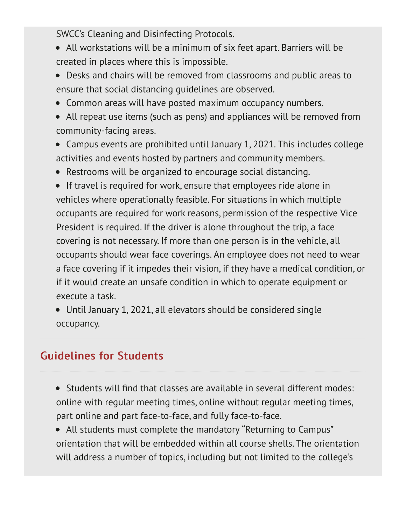SWCC's Cleaning and Disinfecting Protocols.

- All workstations will be a minimum of six feet apart. Barriers will be created in places where this is impossible.
- Desks and chairs will be removed from classrooms and public areas to ensure that social distancing guidelines are observed.
- Common areas will have posted maximum occupancy numbers.
- All repeat use items (such as pens) and appliances will be removed from community-facing areas.
- Campus events are prohibited until January 1, 2021. This includes college activities and events hosted by partners and community members.
- Restrooms will be organized to encourage social distancing.

**•** If travel is required for work, ensure that employees ride alone in vehicles where operationally feasible. For situations in which multiple occupants are required for work reasons, permission of the respective Vice President is required. If the driver is alone throughout the trip, a face covering is not necessary. If more than one person is in the vehicle, all occupants should wear face coverings. An employee does not need to wear a face covering if it impedes their vision, if they have a medical condition, or if it would create an unsafe condition in which to operate equipment or execute a task.

Until January 1, 2021, all elevators should be considered single occupancy.

#### **Guidelines for Students**

- Students will find that classes are available in several different modes: online with regular meeting times, online without regular meeting times, part online and part face-to-face, and fully face-to-face.
- All students must complete the mandatory "Returning to Campus" orientation that will be embedded within all course shells. The orientation will address a number of topics, including but not limited to the college's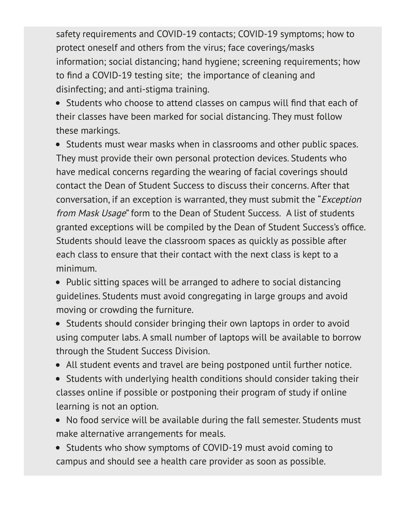safety requirements and COVID-19 contacts; COVID-19 symptoms; how to protect oneself and others from the virus; face coverings/masks information; social distancing; hand hygiene; screening requirements; how to find a COVID-19 testing site; the importance of cleaning and disinfecting; and anti-stigma training.

Students who choose to attend classes on campus will find that each of their classes have been marked for social distancing. They must follow these markings.

• Students must wear masks when in classrooms and other public spaces. They must provide their own personal protection devices. Students who have medical concerns regarding the wearing of facial coverings should contact the Dean of Student Success to discuss their concerns. After that conversation, if an exception is warranted, they must submit the "Exception from Mask Usage" form to the Dean of Student Success. A list of students granted exceptions will be compiled by the Dean of Student Success's office. Students should leave the classroom spaces as quickly as possible after each class to ensure that their contact with the next class is kept to a minimum.

• Public sitting spaces will be arranged to adhere to social distancing guidelines. Students must avoid congregating in large groups and avoid moving or crowding the furniture.

• Students should consider bringing their own laptops in order to avoid using computer labs. A small number of laptops will be available to borrow through the Student Success Division.

- All student events and travel are being postponed until further notice.
- Students with underlying health conditions should consider taking their classes online if possible or postponing their program of study if online learning is not an option.
- No food service will be available during the fall semester. Students must make alternative arrangements for meals.

• Students who show symptoms of COVID-19 must avoid coming to campus and should see a health care provider as soon as possible.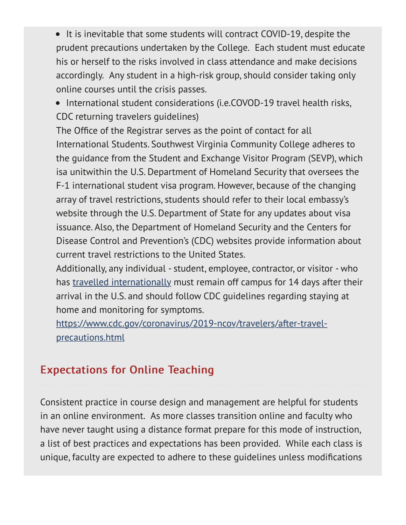• It is inevitable that some students will contract COVID-19, despite the prudent precautions undertaken by the College. Each student must educate his or herself to the risks involved in class attendance and make decisions accordingly. Any student in a high-risk group, should consider taking only online courses until the crisis passes.

• International student considerations (i.e.COVOD-19 travel health risks, CDC returning travelers guidelines)

The Office of the Registrar serves as the point of contact for all International Students. Southwest Virginia Community College adheres to the guidance from the Student and Exchange Visitor Program (SEVP), which isa unitwithin the U.S. Department of Homeland Security that oversees the F-1 international student visa program. However, because of the changing array of travel restrictions, students should refer to their local embassy's website through the U.S. Department of State for any updates about visa issuance. Also, the Department of Homeland Security and the Centers for Disease Control and Prevention's (CDC) websites provide information about current travel restrictions to the United States.

Additionally, any individual - student, employee, contractor, or visitor - who has travelled internationally must remain off campus for 14 days after their arrival in the U.S. and should follow CDC guidelines regarding staying at home and monitoring for symptoms.

https://www.cdc.gov/coronavirus/2019-ncov/travelers/after-travelprecautions.html

#### **Expectations for Online Teaching**

Consistent practice in course design and management are helpful for students in an online environment. As more classes transition online and faculty who have never taught using a distance format prepare for this mode of instruction, a list of best practices and expectations has been provided. While each class is unique, faculty are expected to adhere to these guidelines unless modifications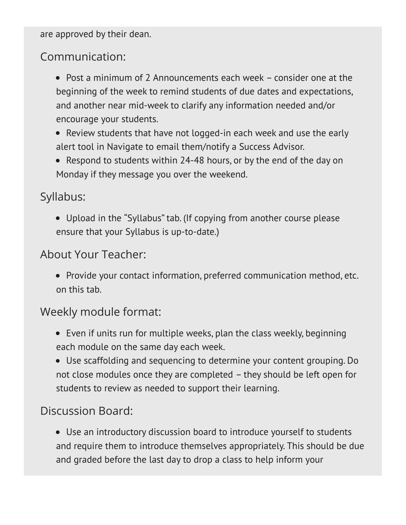are approved by their dean.

#### Communication:

- Post a minimum of 2 Announcements each week consider one at the beginning of the week to remind students of due dates and expectations, and another near mid-week to clarify any information needed and/or encourage your students.
- Review students that have not logged-in each week and use the early alert tool in Navigate to email them/notify a Success Advisor.
- Respond to students within 24-48 hours, or by the end of the day on Monday if they message you over the weekend.

#### Syllabus:

Upload in the "Syllabus" tab. (If copying from another course please ensure that your Syllabus is up-to-date.)

#### About Your Teacher:

• Provide your contact information, preferred communication method, etc. on this tab.

#### Weekly module format:

- Even if units run for multiple weeks, plan the class weekly, beginning each module on the same day each week.
- Use scaffolding and sequencing to determine your content grouping. Do not close modules once they are completed – they should be left open for students to review as needed to support their learning.

#### Discussion Board:

Use an introductory discussion board to introduce yourself to students and require them to introduce themselves appropriately. This should be due and graded before the last day to drop a class to help inform your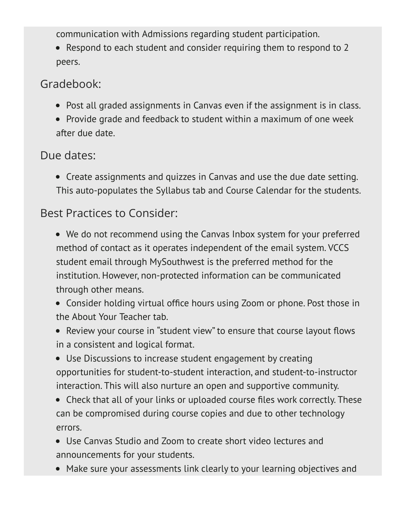communication with Admissions regarding student participation.

Respond to each student and consider requiring them to respond to 2 peers.

#### Gradebook:

- Post all graded assignments in Canvas even if the assignment is in class.
- Provide grade and feedback to student within a maximum of one week after due date.

#### Due dates:

Create assignments and quizzes in Canvas and use the due date setting. This auto-populates the Syllabus tab and Course Calendar for the students.

### Best Practices to Consider:

- We do not recommend using the Canvas Inbox system for your preferred method of contact as it operates independent of the email system. VCCS student email through MySouthwest is the preferred method for the institution. However, non-protected information can be communicated through other means.
- Consider holding virtual office hours using Zoom or phone. Post those in the About Your Teacher tab.
- Review your course in "student view" to ensure that course layout flows in a consistent and logical format.
- Use Discussions to increase student engagement by creating opportunities for student-to-student interaction, and student-to-instructor interaction. This will also nurture an open and supportive community.
- Check that all of your links or uploaded course files work correctly. These can be compromised during course copies and due to other technology errors.
- Use Canvas Studio and Zoom to create short video lectures and announcements for your students.
- Make sure your assessments link clearly to your learning objectives and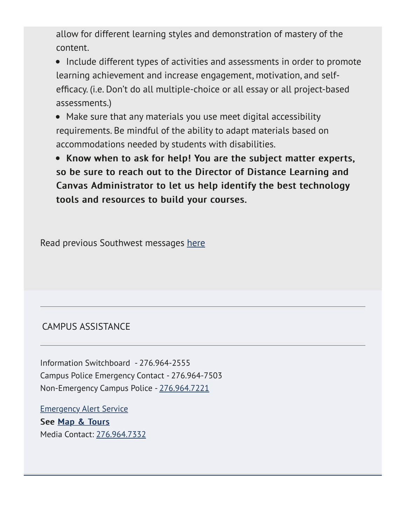allow for different learning styles and demonstration of mastery of the content.

• Include different types of activities and assessments in order to promote learning achievement and increase engagement, motivation, and selfefficacy. (i.e. Don't do all multiple-choice or all essay or all project-based assessments.)

Make sure that any materials you use meet digital accessibility requirements. Be mindful of the ability to adapt materials based on accommodations needed by students with disabilities.

• Know when to ask for help! You are the subject matter experts, so be sure to reach out to the Director of Distance Learning and Canvas Administrator to let us help identify the best technology tools and resources to build your courses.

Read previous Southwest messages here

#### CAMPUS ASSISTANCE

Information Switchboard - 276.964-2555 Campus Police Emergency Contact - 276.964-7503 Non-Emergency Campus Police - 276.964.7221

Emergency Alert Service See Map & Tours Media Contact: 276.964.7332